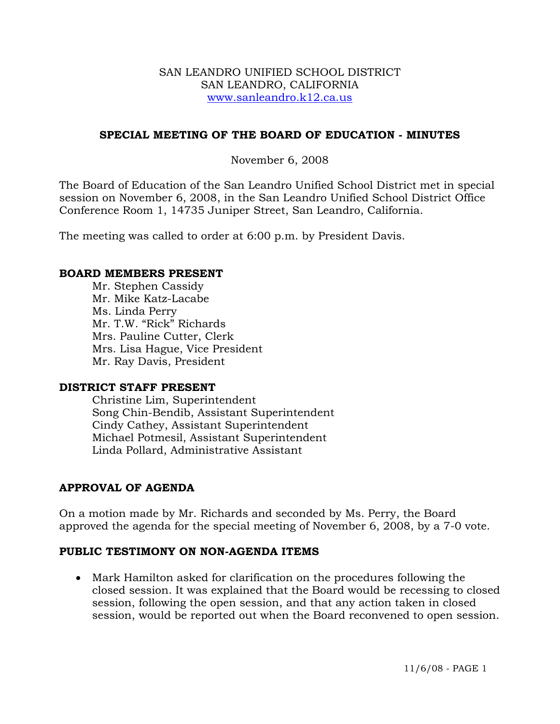### SAN LEANDRO UNIFIED SCHOOL DISTRICT SAN LEANDRO, CALIFORNIA www.sanleandro.k12.ca.us

# **SPECIAL MEETING OF THE BOARD OF EDUCATION - MINUTES**

### November 6, 2008

The Board of Education of the San Leandro Unified School District met in special session on November 6, 2008, in the San Leandro Unified School District Office Conference Room 1, 14735 Juniper Street, San Leandro, California.

The meeting was called to order at 6:00 p.m. by President Davis.

### **BOARD MEMBERS PRESENT**

Mr. Stephen Cassidy Mr. Mike Katz-Lacabe Ms. Linda Perry Mr. T.W. "Rick" Richards Mrs. Pauline Cutter, Clerk Mrs. Lisa Hague, Vice President Mr. Ray Davis, President

### **DISTRICT STAFF PRESENT**

Christine Lim, Superintendent Song Chin-Bendib, Assistant Superintendent Cindy Cathey, Assistant Superintendent Michael Potmesil, Assistant Superintendent Linda Pollard, Administrative Assistant

# **APPROVAL OF AGENDA**

On a motion made by Mr. Richards and seconded by Ms. Perry, the Board approved the agenda for the special meeting of November 6, 2008, by a 7-0 vote.

### **PUBLIC TESTIMONY ON NON-AGENDA ITEMS**

• Mark Hamilton asked for clarification on the procedures following the closed session. It was explained that the Board would be recessing to closed session, following the open session, and that any action taken in closed session, would be reported out when the Board reconvened to open session.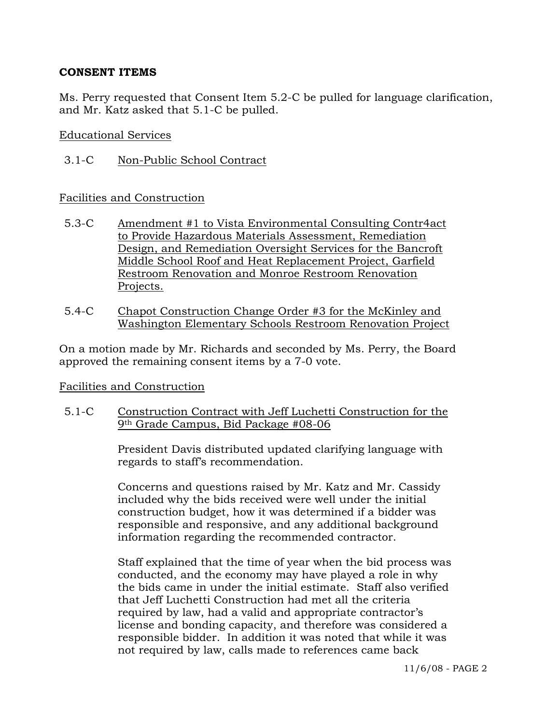## **CONSENT ITEMS**

Ms. Perry requested that Consent Item 5.2-C be pulled for language clarification, and Mr. Katz asked that 5.1-C be pulled.

### Educational Services

3.1-C Non-Public School Contract

# Facilities and Construction

- 5.3-C Amendment #1 to Vista Environmental Consulting Contr4act to Provide Hazardous Materials Assessment, Remediation Design, and Remediation Oversight Services for the Bancroft Middle School Roof and Heat Replacement Project, Garfield Restroom Renovation and Monroe Restroom Renovation Projects.
- 5.4-C Chapot Construction Change Order #3 for the McKinley and Washington Elementary Schools Restroom Renovation Project

On a motion made by Mr. Richards and seconded by Ms. Perry, the Board approved the remaining consent items by a 7-0 vote.

# Facilities and Construction

5.1-C Construction Contract with Jeff Luchetti Construction for the 9th Grade Campus, Bid Package #08-06

> President Davis distributed updated clarifying language with regards to staff's recommendation.

> Concerns and questions raised by Mr. Katz and Mr. Cassidy included why the bids received were well under the initial construction budget, how it was determined if a bidder was responsible and responsive, and any additional background information regarding the recommended contractor.

Staff explained that the time of year when the bid process was conducted, and the economy may have played a role in why the bids came in under the initial estimate. Staff also verified that Jeff Luchetti Construction had met all the criteria required by law, had a valid and appropriate contractor's license and bonding capacity, and therefore was considered a responsible bidder. In addition it was noted that while it was not required by law, calls made to references came back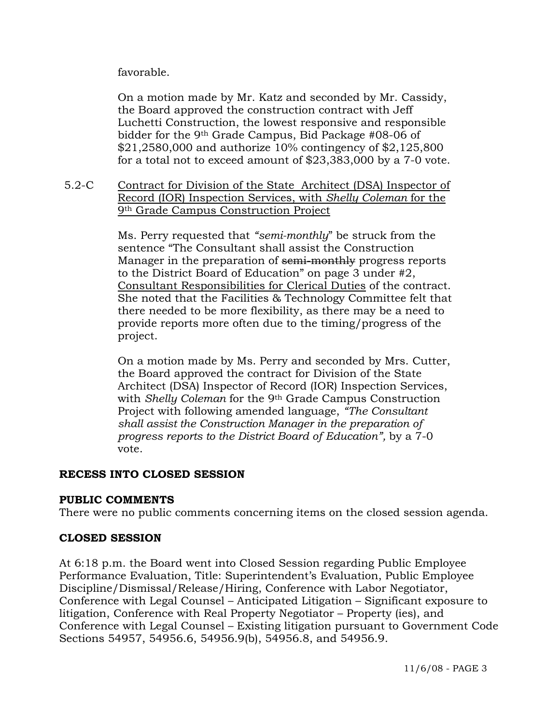favorable.

On a motion made by Mr. Katz and seconded by Mr. Cassidy, the Board approved the construction contract with Jeff Luchetti Construction, the lowest responsive and responsible bidder for the 9th Grade Campus, Bid Package #08-06 of \$21,2580,000 and authorize 10% contingency of \$2,125,800 for a total not to exceed amount of \$23,383,000 by a 7-0 vote.

5.2-C Contract for Division of the State Architect (DSA) Inspector of Record (IOR) Inspection Services, with *Shelly Coleman* for the 9th Grade Campus Construction Project

> Ms. Perry requested that *"semi-monthly*" be struck from the sentence "The Consultant shall assist the Construction Manager in the preparation of semi-monthly progress reports to the District Board of Education" on page 3 under #2, Consultant Responsibilities for Clerical Duties of the contract. She noted that the Facilities & Technology Committee felt that there needed to be more flexibility, as there may be a need to provide reports more often due to the timing/progress of the project.

> On a motion made by Ms. Perry and seconded by Mrs. Cutter, the Board approved the contract for Division of the State Architect (DSA) Inspector of Record (IOR) Inspection Services, with *Shelly Coleman* for the 9th Grade Campus Construction Project with following amended language, *"The Consultant shall assist the Construction Manager in the preparation of progress reports to the District Board of Education",* by a 7-0 vote.

# **RECESS INTO CLOSED SESSION**

# **PUBLIC COMMENTS**

There were no public comments concerning items on the closed session agenda.

# **CLOSED SESSION**

At 6:18 p.m. the Board went into Closed Session regarding Public Employee Performance Evaluation, Title: Superintendent's Evaluation, Public Employee Discipline/Dismissal/Release/Hiring, Conference with Labor Negotiator, Conference with Legal Counsel – Anticipated Litigation – Significant exposure to litigation, Conference with Real Property Negotiator – Property (ies), and Conference with Legal Counsel – Existing litigation pursuant to Government Code Sections 54957, 54956.6, 54956.9(b), 54956.8, and 54956.9.